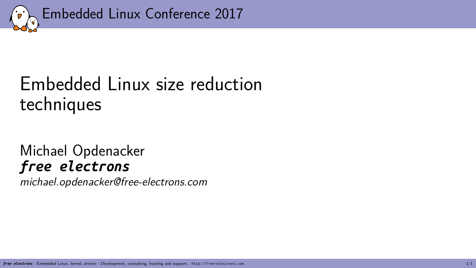

## Embedded Linux size reduction techniques

## Michael Opdenacker *free electrons*

*michael.opdenacker@free-electrons.com*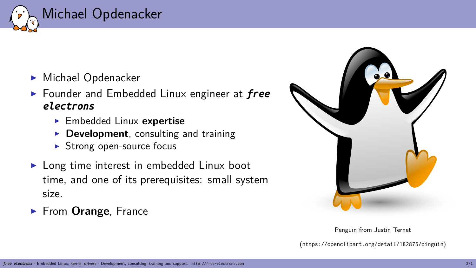

- ▶ Michael Opdenacker
- ▶ Founder and Embedded Linux engineer at *free electrons*
	- ▶ Embedded Linux **expertise**
	- ▶ **Development**, consulting and training
	- ▶ Strong open-source focus
- ▶ Long time interest in embedded Linux boot time, and one of its prerequisites: small system size.
- ▶ From **Orange**, France



Penguin from Justin Ternet (https://openclipart.org/detail/182875/pinguin)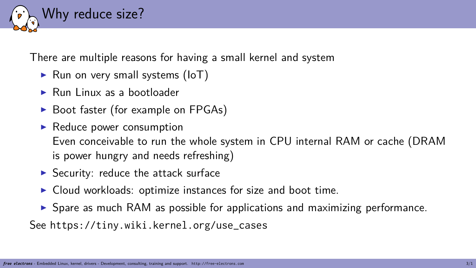

There are multiple reasons for having a small kernel and system

- ▶ Run on very small systems (IoT)
- ▶ Run Linux as a bootloader
- ▶ Boot faster (for example on FPGAs)
- ▶ Reduce power consumption Even conceivable to run the whole system in CPU internal RAM or cache (DRAM is power hungry and needs refreshing)
- ▶ Security: reduce the attack surface
- ▶ Cloud workloads: optimize instances for size and boot time.
- ▶ Spare as much RAM as possible for applications and maximizing performance.

See https://tiny.wiki.kernel.org/use\_cases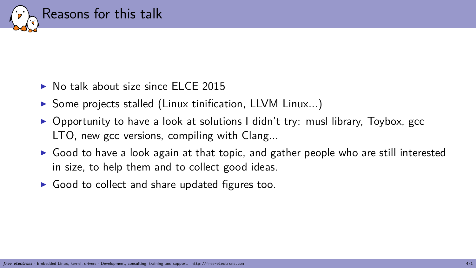

- ▶ No talk about size since ELCE 2015
- ▶ Some projects stalled (Linux tinification, LLVM Linux...)
- $\triangleright$  Opportunity to have a look at solutions I didn't try: musl library, Toybox, gcc LTO, new gcc versions, compiling with Clang...
- $\triangleright$  Good to have a look again at that topic, and gather people who are still interested in size, to help them and to collect good ideas.
- $\triangleright$  Good to collect and share updated figures too.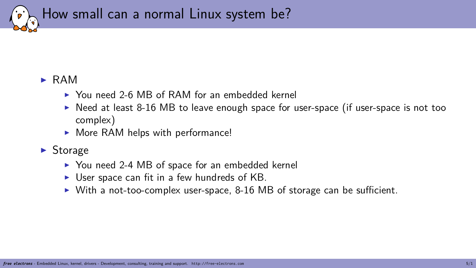

#### ▶ RAM

- ▶ You need 2-6 MB of RAM for an embedded kernel
- $\triangleright$  Need at least 8-16 MB to leave enough space for user-space (if user-space is not too complex)
- ▶ More RAM helps with performance!

#### ▶ Storage

- ▶ You need 2-4 MB of space for an embedded kernel
- $\triangleright$  User space can fit in a few hundreds of KB.
- ▶ With a not-too-complex user-space, 8-16 MB of storage can be sufficient.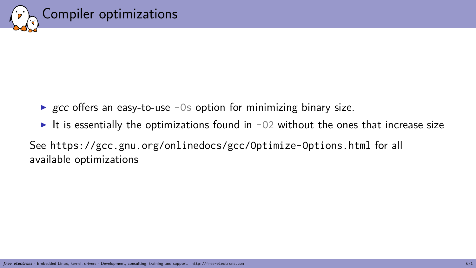

Compiler optimizations

- ▶ *gcc* offers an easy-to-use -0s option for minimizing binary size.
- $\blacktriangleright$  It is essentially the optimizations found in -02 without the ones that increase size

See https://gcc.gnu.org/onlinedocs/gcc/Optimize-Options.html for all available optimizations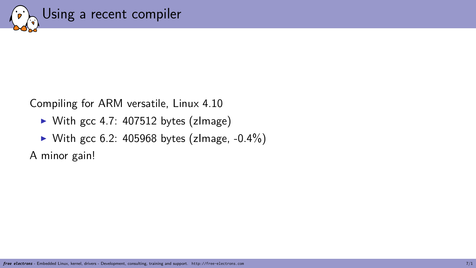

Compiling for ARM versatile, Linux 4.10

- ▶ With gcc 4.7: 407512 bytes (zImage)
- $\blacktriangleright$  With gcc 6.2: 405968 bytes (zlmage, -0.4%)

A minor gain!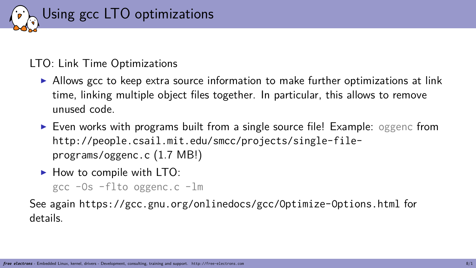

#### LTO: Link Time Optimizations

- $\triangleright$  Allows gcc to keep extra source information to make further optimizations at link time, linking multiple object files together. In particular, this allows to remove unused code.
- ▶ Even works with programs built from a single source file! Example: oggenc from http://people.csail.mit.edu/smcc/projects/single-fileprograms/oggenc.c (1.7 MB!)
- ▶ How to compile with LTO: gcc -Os -flto oggenc.c -lm

See again https://gcc.gnu.org/onlinedocs/gcc/Optimize-Options.html for details.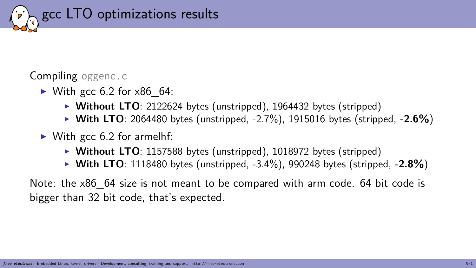

Compiling oggenc.c

- $\blacktriangleright$  With gcc 6.2 for  $\times 86$  64:
	- ▶ **Without LTO**: 2122624 bytes (unstripped), 1964432 bytes (stripped)
	- ▶ **With LTO**: 2064480 bytes (unstripped, -2.7%), 1915016 bytes (stripped, **-2.6%**)
- $\triangleright$  With gcc 6.2 for armelhf:
	- ▶ **Without LTO**: 1157588 bytes (unstripped), 1018972 bytes (stripped)
	- ▶ **With LTO**: 1118480 bytes (unstripped, -3.4%), 990248 bytes (stripped, **-2.8%**)

Note: the x86 64 size is not meant to be compared with arm code. 64 bit code is bigger than 32 bit code, that's expected.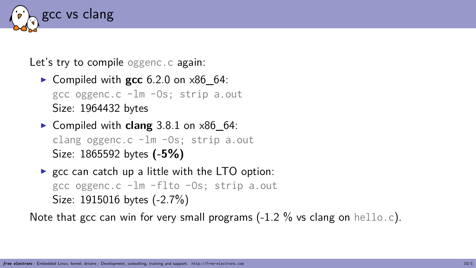

Let's try to compile oggenc.c again:

- ▶ Compiled with **gcc** 6.2.0 on x86\_64: gcc oggenc.c -lm -Os; strip a.out Size: 1964432 bytes
- ▶ Compiled with **clang** 3.8.1 on x86\_64: clang oggenc.c -lm -Os; strip a.out Size: 1865592 bytes **(-5%)**
- $\triangleright$  gcc can catch up a little with the LTO option: gcc oggenc.c -lm -flto -Os; strip a.out Size: 1915016 bytes (-2.7%)

Note that gcc can win for very small programs  $(-1.2 \%)$  vs clang on hello.c).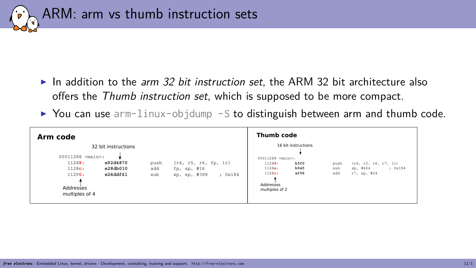

- ▶ In addition to the *arm 32 bit instruction set*, the ARM 32 bit architecture also offers the *Thumb instruction set*, which is supposed to be more compact.
- $\triangleright$  You can use arm-linux-objdump -S to distinguish between arm and thumb code.

| Arm code                                                                                                                                                  |                    |                                                                    | Thumb code                                                                                                                                  |                    |                                                                |
|-----------------------------------------------------------------------------------------------------------------------------------------------------------|--------------------|--------------------------------------------------------------------|---------------------------------------------------------------------------------------------------------------------------------------------|--------------------|----------------------------------------------------------------|
| 32 bit instructions<br>$00011288$ <main>:<br/>e92d4870<br/>11288:<br/>1128c:<br/>e28db010<br/>11290:<br/>e24ddf61<br/>Addresses<br/>multiples of 4</main> | push<br>add<br>sub | $\{r4, r5, r6, fp, 1r\}$<br>fp, sp, #16<br>sp, sp, #388<br>; 0x184 | 16 bit instructions<br>00011288 <main>:<br/>b5f0<br/>11288:<br/>b0e5<br/>1128a:<br/>1128c:<br/>af06<br/>Addresses<br/>multiples of 2</main> | push<br>sub<br>add | $\{r4, r5, r6, r7, 1r\}$<br>; 0x194<br>sp, #404<br>r7, sp, #24 |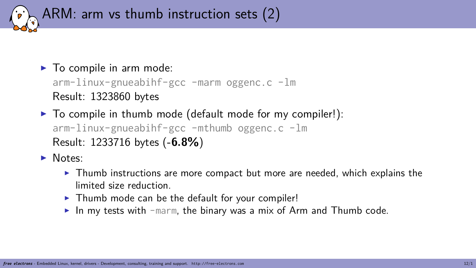

- $\blacktriangleright$  To compile in arm mode: arm-linux-gnueabihf-gcc -marm oggenc.c -lm Result: 1323860 bytes
- ▶ To compile in thumb mode (default mode for my compiler!): arm-linux-gnueabihf-gcc -mthumb oggenc.c -lm Result: 1233716 bytes (**-6.8%**)
- ▶ Notes:
	- $\triangleright$  Thumb instructions are more compact but more are needed, which explains the limited size reduction.
	- ▶ Thumb mode can be the default for your compiler!
	- $\blacktriangleright$  In my tests with -marm, the binary was a mix of Arm and Thumb code.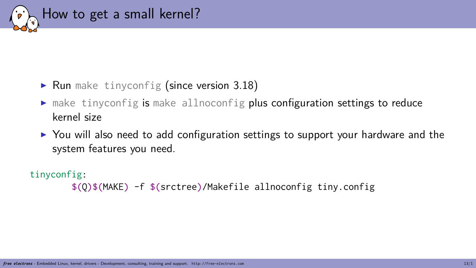

#### $\blacktriangleright$  Run make tinyconfig (since version 3.18)

- $\blacktriangleright$  make tinyconfig is make allnoconfig plus configuration settings to reduce kernel size
- ▶ You will also need to add configuration settings to support your hardware and the system features you need.

#### tinyconfig:

\$(Q)\$(MAKE) -f \$(srctree)/Makefile allnoconfig tiny.config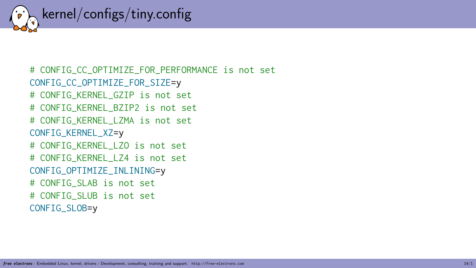

# CONFIG\_CC\_OPTIMIZE\_FOR\_PERFORMANCE is not set CONFIG\_CC\_OPTIMIZE\_FOR\_SIZE=y # CONFIG\_KERNEL\_GZIP is not set # CONFIG\_KERNEL\_BZIP2 is not set # CONFIG\_KERNEL\_LZMA is not set CONFIG\_KERNEL\_XZ=y # CONFIG\_KERNEL\_LZO is not set # CONFIG\_KERNEL\_LZ4 is not set CONFIG\_OPTIMIZE\_INLINING=y # CONFIG\_SLAB is not set # CONFIG\_SLUB is not set CONFIG\_SLOB=y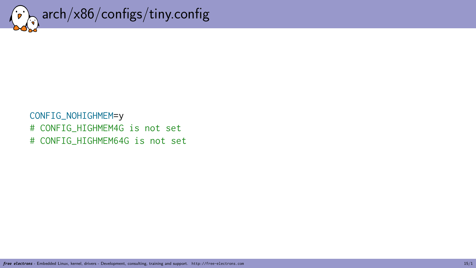

CONFIG\_NOHIGHMEM=y # CONFIG\_HIGHMEM4G is not set # CONFIG\_HIGHMEM64G is not set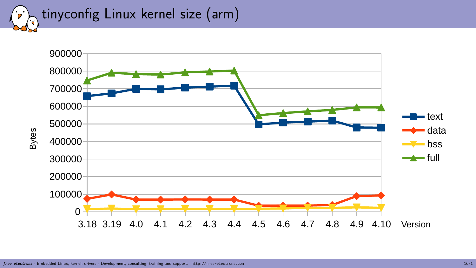tinyconfig Linux kernel size (arm)

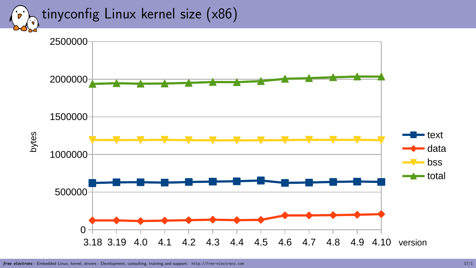tinyconfig Linux kernel size (x86)

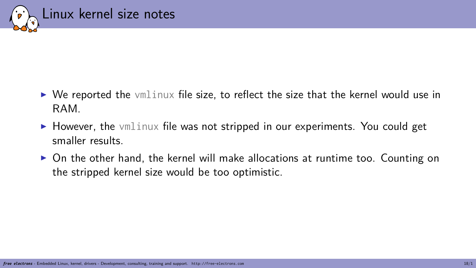

- $\triangleright$  We reported the vmlinux file size, to reflect the size that the kernel would use in RAM.
- $\triangleright$  However, the vmlinux file was not stripped in our experiments. You could get smaller results.
- $\triangleright$  On the other hand, the kernel will make allocations at runtime too. Counting on the stripped kernel size would be too optimistic.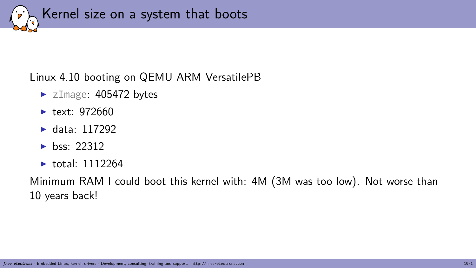

#### Linux 4.10 booting on QEMU ARM VersatilePB

- ▶ zImage: 405472 bytes
- $\blacktriangleright$  text: 972660
- ▶ data: 117292
- $\blacktriangleright$  hss: 22312
- $\blacktriangleright$  total: 1112264

Minimum RAM I could boot this kernel with: 4M (3M was too low). Not worse than 10 years back!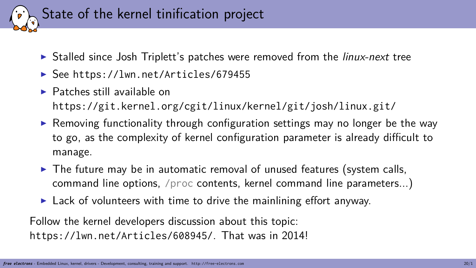

- ▶ Stalled since Josh Triplett's patches were removed from the *linux-next* tree
- ▶ See https://lwn.net/Articles/679455
- ▶ Patches still available on https://git.kernel.org/cgit/linux/kernel/git/josh/linux.git/
- ▶ Removing functionality through configuration settings may no longer be the way to go, as the complexity of kernel configuration parameter is already difficult to manage.
- $\blacktriangleright$  The future may be in automatic removal of unused features (system calls, command line options, /proc contents, kernel command line parameters...)
- $\blacktriangleright$  Lack of volunteers with time to drive the mainlining effort anyway.

Follow the kernel developers discussion about this topic: https://lwn.net/Articles/608945/. That was in 2014!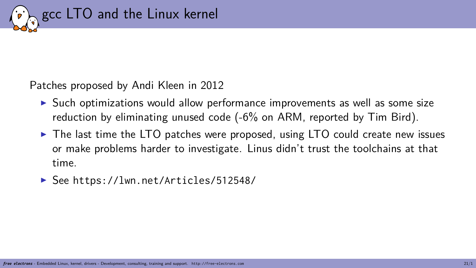

Patches proposed by Andi Kleen in 2012

- ▶ Such optimizations would allow performance improvements as well as some size reduction by eliminating unused code (-6% on ARM, reported by Tim Bird).
- ▶ The last time the LTO patches were proposed, using LTO could create new issues or make problems harder to investigate. Linus didn't trust the toolchains at that time.
- ▶ See https://lwn.net/Articles/512548/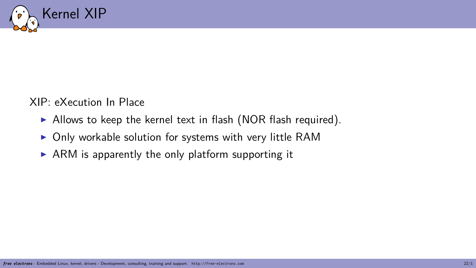

XIP: eXecution In Place

- ▶ Allows to keep the kernel text in flash (NOR flash required).
- ▶ Only workable solution for systems with very little RAM
- $\triangleright$  ARM is apparently the only platform supporting it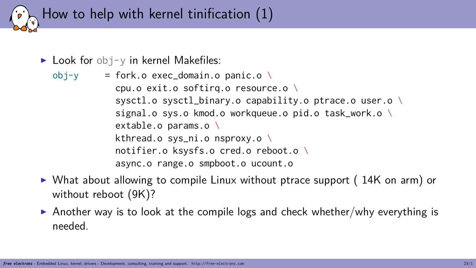

 $\blacktriangleright$  Look for obj-y in kernel Makefiles:

 $obj-y = fork.o exec\_domain.o panic.o \n\$ cpu.o exit.o softirq.o resource.o \ sysctl.o sysctl\_binary.o capability.o ptrace.o user.o \ signal.o svs.o kmod.o workqueue.o pid.o task\_work.o \ extable.o params.o \ kthread.o sys\_ni.o nsproxy.o \ notifier.o ksysfs.o cred.o reboot.o \ async.o range.o smpboot.o ucount.o

- ▶ What about allowing to compile Linux without ptrace support (14K on arm) or without reboot (9K)?
- $\triangleright$  Another way is to look at the compile logs and check whether/why everything is needed.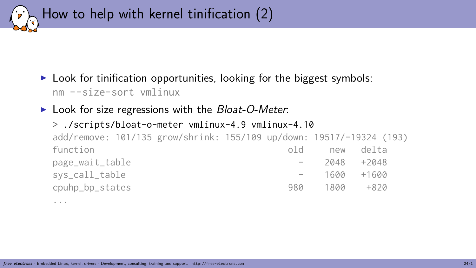

 $\triangleright$  Look for tinification opportunities, looking for the biggest symbols: nm --size-sort vmlinux

▶ Look for size regressions with the *Bloat-O-Meter*:

```
> ./scripts/bloat-o-meter vmlinux-4.9 vmlinux-4.10
add/remove: 101/135 grow/shrink: 155/109 up/down: 19517/-19324 (193)
function and the set of the set of the set of the set of the set of the set of the set of the set of the set o
page_wait_table - 2048 +2048
sys_call_table - 1600 +1600
cpuhp_bp_states 980 1800 +820
```
...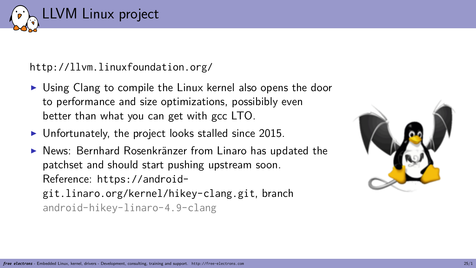

http://llvm.linuxfoundation.org/

- ▶ Using Clang to compile the Linux kernel also opens the door to performance and size optimizations, possibibly even better than what you can get with gcc LTO.
- ▶ Unfortunately, the project looks stalled since 2015.
- ▶ News: Bernhard Rosenkränzer from Linaro has updated the patchset and should start pushing upstream soon. Reference: https://androidgit.linaro.org/kernel/hikey-clang.git, branch android-hikey-linaro-4.9-clang

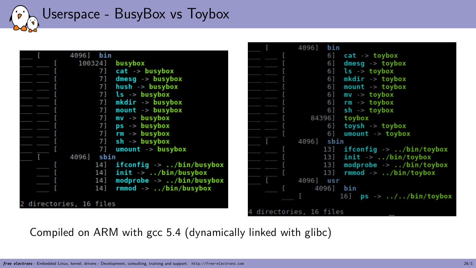Userspace - BusyBox vs Toybox

|                         | 40961   | bin  |                                            |
|-------------------------|---------|------|--------------------------------------------|
|                         | 1003241 |      | busybox                                    |
|                         |         | 71   | $cat \rightarrow busybox$                  |
|                         |         | 71   | $d$ mesq $\rightarrow$ busybox             |
|                         |         | 71   | $hush \rightarrow busybox$                 |
|                         |         | 71   | $ls \rightarrow busybox$                   |
|                         |         | 71   | $mkdir \rightarrow busybox$                |
|                         |         | 71   | $mount \rightarrow busvbox$                |
|                         |         | 71   | $mv \rightarrow busybox$                   |
|                         |         | 71   | $ps \rightarrow busybox$                   |
|                         |         | 71   | $rm -$ busybox                             |
|                         |         | 71   | $sh \rightarrow busybox$                   |
|                         |         | 71   | $u$ mount $\rightarrow$ busybox            |
|                         | 4096]   | sbin |                                            |
|                         |         | 14]  | ifconfig $\rightarrow$ /bin/busybox        |
|                         |         | 14]  | $init \rightarrow$ /bin/busybox            |
|                         |         | 141  | modprobe $\rightarrow$ /bin/busybox        |
|                         |         | 141  | $rmmod$ $\rightarrow$ $\ldots/bin/busybox$ |
|                         |         |      |                                            |
| 2 directories, 16 files |         |      |                                            |

|                       | 40961      | bin   |                                                     |
|-----------------------|------------|-------|-----------------------------------------------------|
|                       |            | 61    | $cat \rightarrow toybox$                            |
|                       |            | 6 ]   | dmesq $\rightarrow$ toybox                          |
|                       |            | 6 ]   | $ls \rightarrow toybox$                             |
|                       |            | 61    | $m$ kdir $\rightarrow$ toybox                       |
|                       |            | 61    | mount $\rightarrow$ toybox                          |
|                       |            | 6 1   | $mv \rightarrow toybox$                             |
|                       |            | 6 ]   | $rm \rightarrow toybox$                             |
|                       |            | 6 ]   | $sh \rightarrow toybox$                             |
|                       |            |       | 84396] toybox                                       |
|                       |            | 6 ]   | $to vsh \rightarrow to vbox$                        |
|                       |            | 6]    | $umount$ -> toybox                                  |
| ſ                     | 4096] sbin |       |                                                     |
|                       |            | 131   | ifconfig $\rightarrow$ /bin/toybox                  |
|                       |            | 131   | $init \rightarrow$ /bin/toybox                      |
|                       |            | 13 ]  | modprobe $\rightarrow$ /bin/toybox                  |
|                       |            |       | 13] $r$ mmod -> /bin/toybox                         |
|                       | 40961      | usr   |                                                     |
|                       |            | 40961 | bin                                                 |
|                       |            |       | 16] $ps \rightarrow \ldots / \ldots / bin / toybox$ |
|                       |            |       |                                                     |
| directories, 16 files |            |       |                                                     |

Compiled on ARM with gcc 5.4 (dynamically linked with glibc)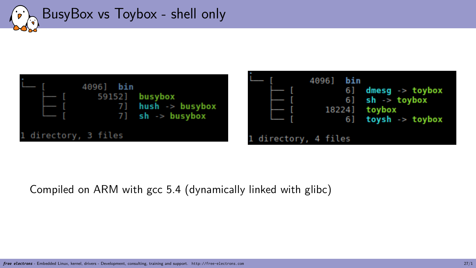



#### Compiled on ARM with gcc 5.4 (dynamically linked with glibc)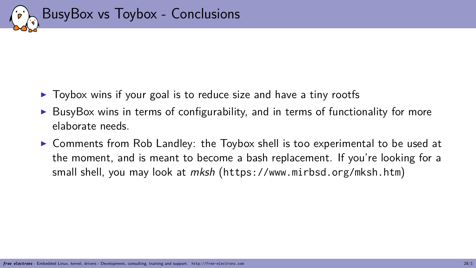

- ▶ Toybox wins if your goal is to reduce size and have a tiny rootfs
- ▶ BusyBox wins in terms of configurability, and in terms of functionality for more elaborate needs.
- ▶ Comments from Rob Landley: the Toybox shell is too experimental to be used at the moment, and is meant to become a bash replacement. If you're looking for a small shell, you may look at *mksh* (https://www.mirbsd.org/mksh.htm)

*free electrons* - Embedded Linux, kernel, drivers - Development, consulting, training and support. http://free-electrons.com 28/1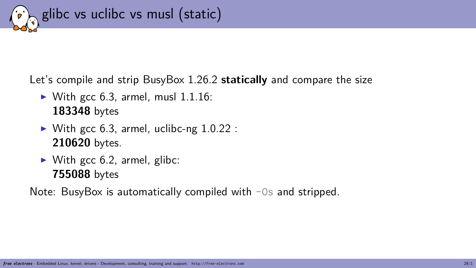

Let's compile and strip BusyBox 1.26.2 **statically** and compare the size

- $\blacktriangleright$  With gcc 6.3, armel, musl 1.1.16: **183348** bytes
- $\triangleright$  With gcc 6.3, armel, uclibc-ng 1.0.22 : **210620** bytes.
- $\blacktriangleright$  With gcc 6.2, armel, glibc: **755088** bytes

Note: BusyBox is automatically compiled with -0s and stripped.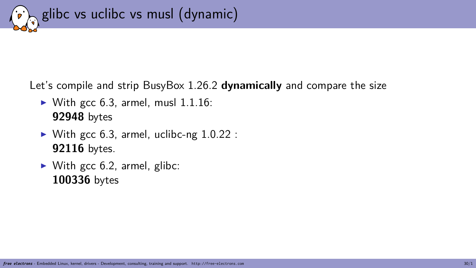

Let's compile and strip BusyBox 1.26.2 **dynamically** and compare the size

- $\triangleright$  With gcc 6.3, armel, musl 1.1.16: **92948** bytes
- $\triangleright$  With gcc 6.3, armel, uclibc-ng 1.0.22 : **92116** bytes.
- $\triangleright$  With gcc 6.2, armel, glibc: **100336** bytes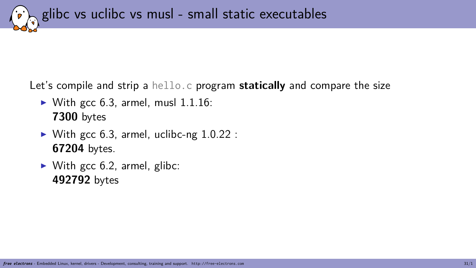glibc vs uclibc vs musl - small static executables

Let's compile and strip a hello.c program **statically** and compare the size

- $\triangleright$  With gcc 6.3, armel, musl 1.1.16: **7300** bytes
- $\triangleright$  With gcc 6.3, armel, uclibc-ng 1.0.22 : **67204** bytes.
- $\triangleright$  With gcc 6.2, armel, glibc: **492792** bytes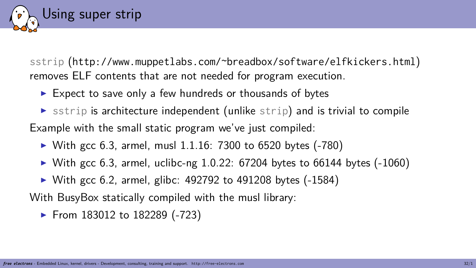

### Using super strip

sstrip (http://www.muppetlabs.com/~breadbox/software/elfkickers.html) removes ELF contents that are not needed for program execution.

- ▶ Expect to save only a few hundreds or thousands of bytes
- $\triangleright$  sstrip is architecture independent (unlike strip) and is trivial to compile

Example with the small static program we've just compiled:

- ▶ With gcc 6.3, armel, musl  $1.1.16: 7300$  to 6520 bytes  $(-780)$
- $\blacktriangleright$  With gcc 6.3, armel, uclibc-ng 1.0.22: 67204 bytes to 66144 bytes (-1060)
- ▶ With gcc 6.2, armel, glibc: 492792 to 491208 bytes (-1584)

With BusyBox statically compiled with the musl library:

▶ From 183012 to 182289 (-723)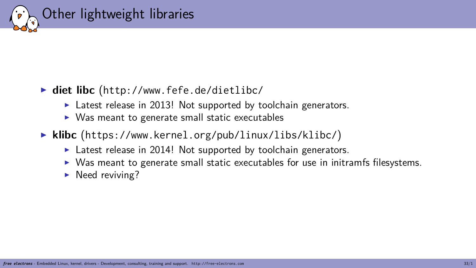

## Other lightweight libraries

- ▶ **diet libc** (http://www.fefe.de/dietlibc/
	- ▶ Latest release in 2013! Not supported by toolchain generators.
	- ▶ Was meant to generate small static executables
- ▶ **klibc** (https://www.kernel.org/pub/linux/libs/klibc/)
	- ▶ Latest release in 2014! Not supported by toolchain generators.
	- ▶ Was meant to generate small static executables for use in initramfs filesystems.

*free electrons* - Embedded Linux, kernel, drivers - Development, consulting, training and support. http://free-electrons.com 33/1

▶ Need reviving?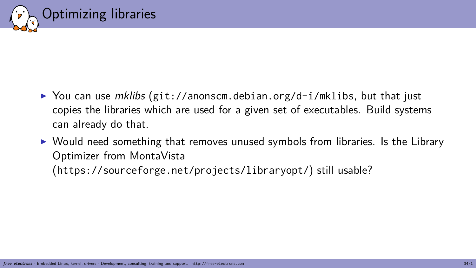

## Optimizing libraries

- ▶ You can use *mklibs* (git://anonscm.debian.org/d-i/mklibs, but that just copies the libraries which are used for a given set of executables. Build systems can already do that.
- ▶ Would need something that removes unused symbols from libraries. Is the Library Optimizer from MontaVista (https://sourceforge.net/projects/libraryopt/) still usable?

*free electrons* - Embedded Linux, kernel, drivers - Development, consulting, training and support. http://free-electrons.com 34/1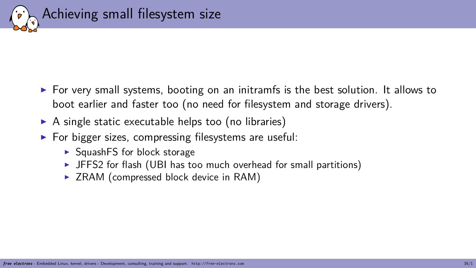

- $\triangleright$  For very small systems, booting on an initramfs is the best solution. It allows to boot earlier and faster too (no need for filesystem and storage drivers).
- $\triangleright$  A single static executable helps too (no libraries)
- $\triangleright$  For bigger sizes, compressing filesystems are useful:
	- ▶ SquashFS for block storage
	- ▶ JFFS2 for flash (UBI has too much overhead for small partitions)
	- ▶ ZRAM (compressed block device in RAM)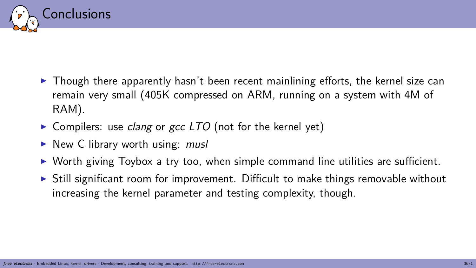

- $\triangleright$  Though there apparently hasn't been recent mainlining efforts, the kernel size can remain very small (405K compressed on ARM, running on a system with 4M of RAM).
- ▶ Compilers: use *clang* or *gcc LTO* (not for the kernel yet)
- ▶ New C library worth using: *musl*
- $\triangleright$  Worth giving Toybox a try too, when simple command line utilities are sufficient.
- $\triangleright$  Still significant room for improvement. Difficult to make things removable without increasing the kernel parameter and testing complexity, though.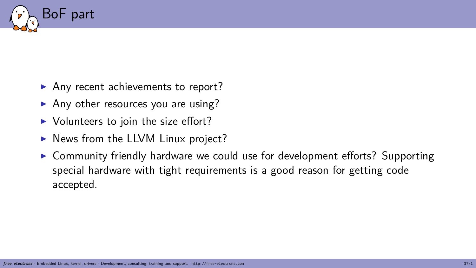

- ▶ Any recent achievements to report?
- ▶ Any other resources you are using?
- ▶ Volunteers to join the size effort?
- ▶ News from the LLVM Linux project?
- ▶ Community friendly hardware we could use for development efforts? Supporting special hardware with tight requirements is a good reason for getting code accepted.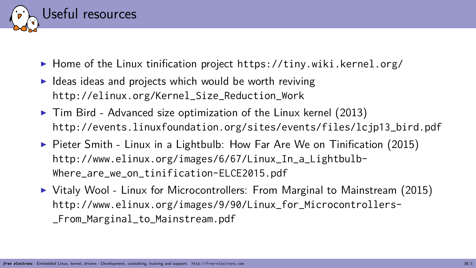

- ▶ Home of the Linux tinification project https://tiny.wiki.kernel.org/
- ▶ Ideas ideas and projects which would be worth reviving http://elinux.org/Kernel\_Size\_Reduction\_Work
- ▶ Tim Bird Advanced size optimization of the Linux kernel (2013) http://events.linuxfoundation.org/sites/events/files/lcjp13\_bird.pdf
- ▶ Pieter Smith Linux in a Lightbulb: How Far Are We on Tinification (2015) http://www.elinux.org/images/6/67/Linux\_In\_a\_Lightbulb-Where\_are\_we\_on\_tinification-ELCE2015.pdf
- ▶ Vitaly Wool Linux for Microcontrollers: From Marginal to Mainstream (2015) http://www.elinux.org/images/9/90/Linux\_for\_Microcontrollers- \_From\_Marginal\_to\_Mainstream.pdf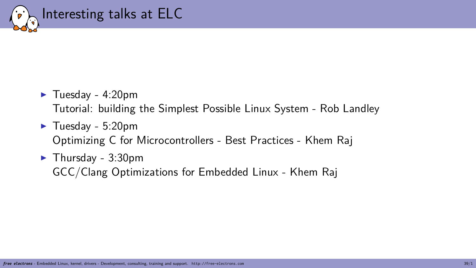

- ▶ Tuesday 4:20pm Tutorial: building the Simplest Possible Linux System - Rob Landley
- ▶ Tuesday 5:20pm Optimizing C for Microcontrollers - Best Practices - Khem Raj
- ▶ Thursday 3:30pm GCC/Clang Optimizations for Embedded Linux - Khem Raj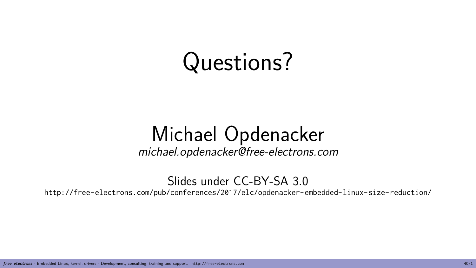# Questions?

## Michael Opdenacker

*michael.opdenacker@free-electrons.com*

Slides under CC-BY-SA 3.0 http://free-electrons.com/pub/conferences/2017/elc/opdenacker-embedded-linux-size-reduction/

*free electrons* - Embedded Linux, kernel, drivers - Development, consulting, training and support. http://free-electrons.com 40/1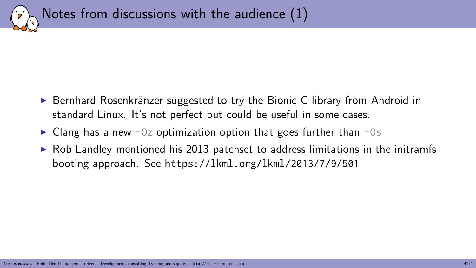

Notes from discussions with the audience (1)

- ▶ Bernhard Rosenkränzer suggested to try the Bionic C library from Android in standard Linux. It's not perfect but could be useful in some cases.
- $\blacktriangleright$  Clang has a new -0z optimization option that goes further than -0s
- ▶ Rob Landley mentioned his 2013 patchset to address limitations in the initramfs booting approach. See https://lkml.org/lkml/2013/7/9/501

*free electrons* - Embedded Linux, kernel, drivers - Development, consulting, training and support. http://free-electrons.com 41/1